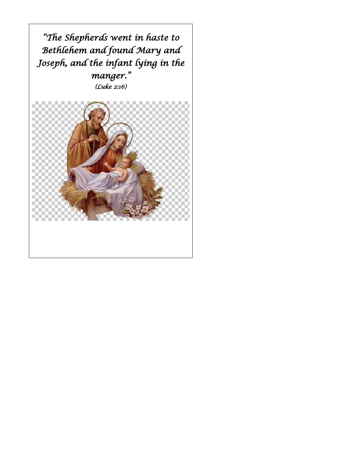*"The Shepherds went in haste to Bethlehem and found Mary and Joseph, and the infant lying in the manger." (Luke 2:16)* 

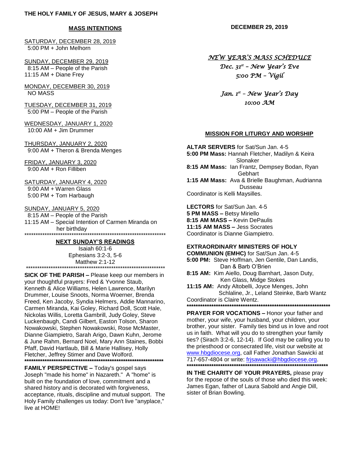#### **MASS INTENTIONS**

SATURDAY, DECEMBER 28, 2019 5:00 PM + John Melhorn

SUNDAY, DECEMBER 29, 2019 8:15 AM – People of the Parish 11:15 AM + Diane Frey

MONDAY, DECEMBER 30, 2019 NO MASS

TUESDAY, DECEMBER 31, 2019 5:00 PM – People of the Parish

WEDNESDAY, JANUARY 1, 2020 10:00 AM + Jim Drummer

THURSDAY, JANUARY 2, 2020 9:00 AM + Theron & Brenda Menges

FRIDAY, JANUARY 3, 2020 9:00 AM + Ron Filliben

SATURDAY, JANUARY 4, 2020 9:00 AM + Warren Glass 5:00 PM + Tom Harbaugh

SUNDAY, JANUARY 5, 2020

 8:15 AM – People of the Parish 11:15 AM – Special Intention of Carmen Miranda on her birthday \*\*\*\*\*\*\*\*\*\*\*\*\*\*\*\*\*\*\*\*\*\*\*\*\*\*\*\*\*\*\*\*\*\*\*\*\*\*\*\*\*\*\*\*\*\*\*\*\*\*\*\*\*\*\*\*\*\*\*\*\*\*\*

#### **NEXT SUNDAY'S READINGS**

Isaiah 60:1-6 Ephesians 3:2-3, 5-6 Matthew 2:1-12 \*\*\*\*\*\*\*\*\*\*\*\*\*\*\*\*\*\*\*\*\*\*\*\*\*\*\*\*\*\*\*\*\*\*\*\*\*\*\*\*\*\*\*\*\*\*\*\*\*\*\*\*\*\*\*\*\*\*\*\*\*\*

**SICK OF THE PARISH –** Please keep our members in your thoughtful prayers: Fred & Yvonne Staub, Kenneth & Alice Williams, Helen Lawrence, Marilyn Drummer, Louise Snoots, Norma Woerner, Brenda Freed, Ken Jacoby, Syndia Helmers, Addie Mannarino, Carmen Miranda, Kai Goley, Richard Doll, Scott Hale, Nickolas Willis, Loretta Gambrill, Judy Goley, Steve Luckenbaugh, Candi Gilbert, Easton Tolson, Sharon Nowakowski, Stephen Nowakowski, Rose McMaster, Dianne Giampietro, Sarah Arigo, Dawn Kuhn, Jerome & June Rahm, Bernard Noel, Mary Ann Staines, Bobbi Pfaff, David Hartlaub, Bill & Marie Hallisey, Holly Fletcher, Jeffrey Stimer and Dave Wolford. **\*\*\*\*\*\*\*\*\*\*\*\*\*\*\*\*\*\*\*\*\*\*\*\*\*\*\*\*\*\*\*\*\*\*\*\*\*\*\*\*\*\*\*\*\*\*\*\*\*\*\*\*\*\*\*\*\*\*\*\*\*\***

**FAMILY PERSPECTIVE –** Today's gospel says Joseph "made his home" in Nazareth." A "home" is built on the foundation of love, commitment and a shared history and is decorated with forgiveness, acceptance, rituals, discipline and mutual support. The Holy Family challenges us today: Don't live "anyplace," live at HOME!

**DECEMBER 29, 2019**

*NEW YEAR'S MASS SCHEDULE* 

*Dec. 31st – New Year's Eve 5:00 PM – Vigil* 

*Jan. 1st – New Year's Day 10:00 AM* 

#### **MISSION FOR LITURGY AND WORSHIP**

**ALTAR SERVERS** for Sat/Sun Jan. 4-5 **5:00 PM Mass:** Hannah Fletcher, Madilyn & Keira Slonaker **8:15 AM Mass:** Ian Frantz, Dempsey Bodan, Ryan Gebhart **1:15 AM Mass:** Ava & Brielle Baughman, Audrianna Dusseau Coordinator is Kelli Maysilles.

**LECTORS** for Sat/Sun Jan. 4-5 **5 PM MASS –** Betsy Miriello **8:15 AM MASS –** Kevin DePaulis **11:15 AM MASS –** Jess Socrates Coordinator is Dianne Giampietro.

#### **EXTRAORDINARY MINISTERS OF HOLY**

**COMMUNION (EMHC)** for Sat/Sun Jan. 4-5 **5:00 PM:** Steve Hoffman, Jen Gentile, Dan Landis, Dan & Barb O'Brien

**8:15 AM:** Kim Aiello, Doug Barnhart, Jason Duty, Ken Glass, Midge Stokes

**11:15 AM:** Andy Altobelli, Joyce Menges, John Schlaline, Jr., Leland Steinke, Barb Wantz Coordinator is Claire Wentz.

**\*\*\*\*\*\*\*\*\*\*\*\*\*\*\*\*\*\*\*\*\*\*\*\*\*\*\*\*\*\*\*\*\*\*\*\*\*\*\*\*\*\*\*\*\*\*\*\*\*\*\*\*\*\*\*\*\*\*\*\*\*\*\*\***

**PRAYER FOR VOCATIONS –** Honor your father and mother, your wife, your husband, your children, your brother, your sister. Family ties bind us in love and root us in faith. What will you do to strengthen your family ties? (Sirach 3:2-6, 12-14). If God may be calling you to the priesthood or consecrated life, visit our website at [www.hbgdiocese.org,](http://www.hbgdiocese.org/) call Father Jonathan Sawicki at 717-657-4804 or write: [frjsawacki@hbgdiocese.org.](mailto:frjsawacki@hbgdiocese.org) **\*\*\*\*\*\*\*\*\*\*\*\*\*\*\*\*\*\*\*\*\*\*\*\*\*\*\*\*\*\*\*\*\*\*\*\*\*\*\*\*\*\*\*\*\*\*\*\*\*\*\*\*\*\*\*\*\*\*\*\*\*\*\***

**IN THE CHARITY OF YOUR PRAYERS,** please pray for the repose of the souls of those who died this week: James Egan, father of Laura Sabold and Angie Dill, sister of Brian Bowling.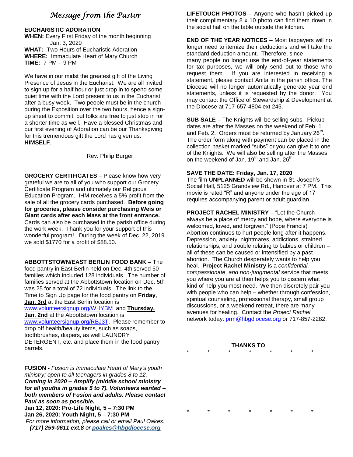# *Message from the Pastor*

# **EUCHARISTIC ADORATION**

**WHEN:** Every First Friday of the month beginning Jan. 3, 2020 **WHAT:** Two Hours of Eucharistic Adoration **WHERE:** Immaculate Heart of Mary Church **TIME:** 7 PM – 9 PM

We have in our midst the greatest gift of the Living Presence of Jesus in the Eucharist. We are all invited to sign up for a half hour or just drop in to spend some quiet time with the Lord present to us in the Eucharist after a busy week. Two people must be in the church during the Exposition over the two hours, hence a signup sheet to commit, but folks are free to just stop in for a shorter time as well. Have a blessed Christmas and our first evening of Adoration can be our Thanksgiving for this tremendous gift the Lord has given us. **HIMSELF**.

Rev. Philip Burger

**GROCERY CERTIFICATES** – Please know how very grateful we are to all of you who support our Grocery Certificate Program and ultimately our Religious Education Program. IHM receives a 5% profit from the sale of all the grocery cards purchased. **Before going for groceries, please consider purchasing Weis or Giant cards after each Mass at the front entrance.** Cards can also be purchased in the parish office during the work week. Thank you for your support of this wonderful program! During the week of Dec. 22, 2019 we sold \$1770 for a profit of \$88.50.

**ABBOTTSTOWN/EAST BERLIN FOOD BANK –** The food pantry in East Berlin held on Dec. 4th served 50 families which included 128 individuals. The number of families served at the Abbottstown location on Dec. 5th was 25 for a total of 72 individuals. The link to the Time to Sign Up page for the food pantry on **Friday**, **Jan. 3rd** at the East Berlin location is [www.volunteersignup.org/WHYBM](http://www.volunteersignup.org/WHYBM) and **Thursday, Jan. 2nd** at the Abbottstown location is [www.volunteersignup.org/RBJ3T.](http://www.volunteersignup.org/BD89J) Please remember to drop off health/beauty items, such as soaps, toothbrushes, diapers, as well LAUNDRY DETERGENT, etc. and place them in the food pantry barrels.

**FUSION -** *Fusion is Immaculate Heart of Mary's youth ministry; open to all teenagers in grades 8 to 12. Coming in 2020 – Amplify (middle school ministry for all youths in grades 5 to 7). Volunteers wanted – both members of Fusion and adults. Please contact Paul as soon as possible.* **Jan 12, 2020: Pro-Life Night, 5 – 7:30 PM Jan 26, 2020: Youth Night, 5 – 7:30 PM** *For more information, please call or email Paul Oakes: (717) 259-0611 ext.8 or [poakes@hbgdiocese.org](mailto:poakes@hbgdiocese.org)*

**LIFETOUCH PHOTOS –** Anyone who hasn't picked up their complimentary 8 x 10 photo can find them down in the social hall on the table outside the kitchen.

**END OF THE YEAR NOTICES –** Most taxpayers will no longer need to itemize their deductions and will take the standard deduction amount. Therefore, since

many people no longer use the end-of-year statements for tax purposes, we will only send out to those who request them. If you are interested in receiving a statement, please contact Anita in the parish office. The Diocese will no longer automatically generate year end statements, unless it is requested by the donor. You may contact the Office of Stewardship & Development at the Diocese at 717-657-4804 ext 245.

**SUB SALE –** The Knights will be selling subs. Pickup dates are after the Masses on the weekend of Feb. 1 and Feb. 2. Orders must be returned by January 26<sup>th</sup>. The order form along with payment can be placed in the collection basket marked "subs" or you can give it to one of the Knights. We will also be selling after the Masses on the weekend of Jan. 19<sup>th</sup> and Jan. 26<sup>th</sup>.

# **SAVE THE DATE: Friday, Jan. 17, 2020**

The film **UNPLANNED** will be shown in St. Joseph's Social Hall, 5125 Grandview Rd., Hanover at 7 PM. This movie is rated "R" and anyone under the age of 17 requires accompanying parent or adult guardian.

**PROJECT RACHEL MINISTRY –** "Let the Church always be a place of mercy and hope, where everyone is welcomed, loved, and forgiven." (Pope Francis) Abortion continues to hurt people long after it happens. Depression, anxiety, nightmares, addictions, strained relationships, and trouble relating to babies or children – all of these can be caused or intensified by a past abortion. The Church desperately wants to help you heal. **Project Rachel Ministry** is a *confidential, compassionate, and non-judgmental* service that meets you where you are at then helps you to discern what kind of help you most need. We then discretely pair you with people who can help – whether through confession, spiritual counseling, professional therapy, small group discussions, or a weekend retreat, there are many avenues for healing. Contact the *Project Rachel* network today: [prm@hbgdiocese.org](mailto:prm@hbgdiocese.org) or 717-857-2282.

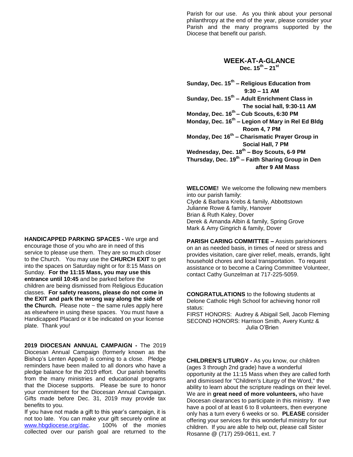Parish for our use. As you think about your personal philanthropy at the end of the year, please consider your Parish and the many programs supported by the Diocese that benefit our parish.

## **WEEK-AT-A-GLANCE Dec. 15th – 21st**

**Sunday, Dec. 15th – Religious Education from 9:30 – 11 AM Sunday, Dec. 15th – Adult Enrichment Class in The social hall, 9:30-11 AM Monday, Dec. 16th – Cub Scouts, 6:30 PM Monday, Dec. 16th – Legion of Mary in Rel Ed Bldg Room 4, 7 PM Monday, Dec 16th – Charismatic Prayer Group in Social Hall, 7 PM Wednesday, Dec. 18th – Boy Scouts, 6-9 PM Thursday, Dec. 19th – Faith Sharing Group in Den after 9 AM Mass**

**WELCOME!** We welcome the following new members into our parish family: Clyde & Barbara Krebs & family, Abbottstown Julianne Rowe & family, Hanover Brian & Ruth Kaley, Dover Derek & Amanda Albin & family, Spring Grove Mark & Amy Gingrich & family, Dover

**PARISH CARING COMMITTEE –** Assists parishioners on an as needed basis, in times of need or stress and provides visitation, care giver relief, meals, errands, light household chores and local transportation. To request assistance or to become a Caring Committee Volunteer, contact Cathy Gunzelman at 717-225-5059.

**CONGRATULATIONS** to the following students at Delone Catholic High School for achieving honor roll status:

FIRST HONORS: Audrey & Abigail Sell, Jacob Fleming SECOND HONORS: Harrison Smith, Avery Kuntz & Julia O'Brien

**CHILDREN'S LITURGY -** As you know, our children (ages 3 through 2nd grade) have a wonderful opportunity at the 11:15 Mass when they are called forth and dismissed for "Children's Liturgy of the Word," the ability to learn about the scripture readings on their level. We are in **great need of more volunteers,** who have Diocesan clearances to participate in this ministry. If we have a pool of at least 6 to 8 volunteers, then everyone only has a turn every 6 weeks or so. **PLEASE** consider offering your services for this wonderful ministry for our children. If you are able to help out, please call Sister Rosanne @ (717) 259-0611, ext. 7

**HANDICAPPED PARKING SPACES -** We urge and encourage those of you who are in need of this service to please use them. They are so much closer to the Church. You may use the **CHURCH EXIT** to get into the spaces on Saturday night or for 8:15 Mass on Sunday. **For the 11:15 Mass, you may use this entrance until 10:45** and be parked before the children are being dismissed from Religious Education classes. **For safety reasons, please do not come in the EXIT and park the wrong way along the side of**  the Church. Please note  $\sim$  the same rules apply here as elsewhere in using these spaces. You must have a Handicapped Placard or it be indicated on your license plate. Thank you!

**2019 DIOCESAN ANNUAL CAMPAIGN -** The 2019 Diocesan Annual Campaign (formerly known as the Bishop's Lenten Appeal) is coming to a close. Pledge reminders have been mailed to all donors who have a pledge balance for the 2019 effort. Our parish benefits from the many ministries and educational programs that the Diocese supports. Please be sure to honor your commitment for the Diocesan Annual Campaign. Gifts made before Dec. 31, 2019 may provide tax benefits to you.

If you have not made a gift to this year's campaign, it is not too late. You can make your gift securely online at [www.hbgdiocese.org/dac.](http://www.hbgdiocese.org/dac) 100% of the monies collected over our parish goal are returned to the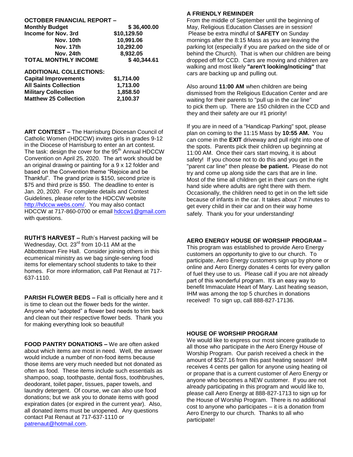| <b>OCTOBER FINANCIAL REPORT -</b> |             |
|-----------------------------------|-------------|
| <b>Monthly Budget</b>             | \$36,400.00 |
| Income for Nov. 3rd               | \$10,129.50 |
| Nov. 10th                         | 10,991.06   |
| Nov. 17th                         | 10,292.00   |
| Nov. 24th                         | 8,932.05    |
| <b>TOTAL MONTHLY INCOME</b>       | \$40,344.61 |
| <b>ADDITIONAL COLLECTIONS:</b>    |             |

| <b>Capital Improvements</b>  | \$1,714.00 |
|------------------------------|------------|
| <b>All Saints Collection</b> | 1.713.00   |
| <b>Military Collection</b>   | 1.858.50   |
| <b>Matthew 25 Collection</b> | 2.100.37   |

**ART CONTEST –** The Harrisburg Diocesan Council of Catholic Women (HDCCW) invites girls in grades 9-12 in the Diocese of Harrisburg to enter an art contest. The task: design the cover for the 95<sup>th</sup> Annual HDCCW Convention on April 25, 2020. The art work should be an original drawing or painting for a 9 x 12 folder and based on the Convention theme "Rejoice and be Thankful". The grand prize is \$150, second prize is \$75 and third prize is \$50. The deadline to enter is Jan. 20, 2020. For complete details and Contest Guidelines, please refer to the HDCCW website [http://hdccw.webs.com/.](http://hdccw.webs.com/) You may also contact HDCCW at 717-860-0700 or email [hdccw1@gmail.com](mailto:hdccw1@gmail.com) with questions.

**RUTH'S HARVEST –** Ruth's Harvest packing will be Wednesday, Oct. 23<sup>rd</sup> from 10-11 AM at the Abbottstown Fire Hall. Consider joining others in this ecumenical ministry as we bag single-serving food items for elementary school students to take to their homes. For more information, call Pat Renaut at 717- 637-1110.

**PARISH FLOWER BEDS –** Fall is officially here and it is time to clean out the flower beds for the winter. Anyone who "adopted" a flower bed needs to trim back and clean out their respective flower beds. Thank you for making everything look so beautiful!

**FOOD PANTRY DONATIONS –** We are often asked about which items are most in need. Well, the answer would include a number of non-food items because those items are very much needed but not donated as often as food. These items include such essentials as shampoo, soap, toothpaste, dental floss, toothbrushes, deodorant, toilet paper, tissues, paper towels, and laundry detergent. Of course, we can also use food donations; but we ask you to donate items with good expiration dates (or expired in the current year). Also, all donated items must be unopened. Any questions contact Pat Renaut at 717-637-1110 or [patrenaut@hotmail.com.](mailto:patrenaut@hotmail.com)

## **A FRIENDLY REMINDER**

From the middle of September until the beginning of May, Religious Education Classes are in session! Please be extra mindful of **SAFETY** on Sunday mornings after the 8:15 Mass as you are leaving the parking lot (especially if you are parked on the side of or behind the Church). That is when our children are being dropped off for CCD. Cars are moving and children are walking and most likely **"aren't looking/noticing"** that cars are backing up and pulling out.

Also around **11:00 AM** when children are being dismissed from the Religious Education Center and are waiting for their parents to "pull up in the car line" to pick them up. There are 150 children in the CCD and they and their safety are our #1 priority!

If you are in need of a "Handicap Parking" spot, please plan on coming to the 11:15 Mass by **10:55 AM.** You can come in the **EXIT** driveway and pull right into one of the spots. Parents pick their children up beginning at 11:00 AM. Once their cars start moving, it is about safety! If you choose not to do this and you get in the "parent car line" then please **be patient.** Please do not try and come up along side the cars that are in line. Most of the time all children get in their cars on the right hand side where adults are right there with them. Occasionally, the children need to get in on the left side because of infants in the car. It takes about 7 minutes to get every child in their car and on their way home safely. Thank you for your understanding!

### **AERO ENERGY HOUSE OF WORSHIP PROGRAM –**

This program was established to provide Aero Energy customers an opportunity to give to our church. To participate, Aero Energy customers sign up by phone or online and Aero Energy donates 4 cents for every gallon of fuel they use to us. Please call if you are not already part of this wonderful program. It's an easy way to benefit Immaculate Heart of Mary. Last heating season, IHM was among the top 5 churches in donations received! To sign up, call 888-827-17136.

### **HOUSE OF WORSHIP PROGRAM**

We would like to express our most sincere gratitude to all those who participate in the Aero Energy House of Worship Program. Our parish received a check in the amount of \$527.16 from this past heating season! IHM receives 4 cents per gallon for anyone using heating oil or propane that is a current customer of Aero Energy or anyone who becomes a NEW customer. If you are not already participating in this program and would like to, please call Aero Energy at 888-827-1713 to sign up for the House of Worship Program. There is no additional cost to anyone who participates – it is a donation from Aero Energy to our church. Thanks to all who participate!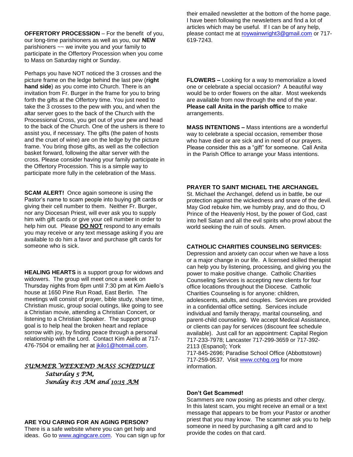**OFFERTORY PROCESSION** – For the benefit of you, our long-time parishioners as well as you, our **NEW**  parishioners ~~ we invite you and your family to participate in the Offertory Procession when you come to Mass on Saturday night or Sunday.

Perhaps you have NOT noticed the 3 crosses and the picture frame on the ledge behind the last pew (**right hand side**) as you come into Church. There is an invitation from Fr. Burger in the frame for you to bring forth the gifts at the Offertory time. You just need to take the 3 crosses to the pew with you, and when the altar server goes to the back of the Church with the Processional Cross, you get out of your pew and head to the back of the Church. One of the ushers is there to assist you, if necessary. The gifts (the paten of hosts and the cruet of wine) are on the ledge by the picture frame. You bring those gifts, as well as the collection basket forward, following the altar server with the cross. Please consider having your family participate in the Offertory Procession. This is a simple way to participate more fully in the celebration of the Mass.

**SCAM ALERT!** Once again someone is using the Pastor's name to scam people into buying gift cards or giving their cell number to them. Neither Fr. Burger, nor any Diocesan Priest, will ever ask you to supply him with gift cards or give your cell number in order to help him out. Please **DO NOT** respond to any emails you may receive or any text message asking if you are available to do him a favor and purchase gift cards for someone who is sick.

**HEALING HEARTS** is a support group for widows and widowers. The group will meet once a week on Thursday nights from 6pm until 7:30 pm at Kim Aiello's house at 1650 Pine Run Road, East Berlin. The meetings will consist of prayer, bible study, share time, Christian music, group social outings, like going to see a Christian movie, attending a Christian Concert, or listening to a Christian Speaker. The support group goal is to help heal the broken heart and replace sorrow with joy, by finding peace through a personal relationship with the Lord. Contact Kim Aiello at 717 476-7504 or emailing her at [jkilo1@hotmail.com.](mailto:jkilo1@hotmail.com)

### *SUMMER WEEKEND MASS SCHEDULE*

*Saturday 5 PM, Sunday 8:15 AM and 10:15 AM* 

# **ARE YOU CARING FOR AN AGING PERSON?**

There is a safe website where you can get help and ideas. Go to [www.agingcare.com.](http://www.agingcare.com/) You can sign up for their emailed newsletter at the bottom of the home page. I have been following the newsletters and find a lot of articles which may be useful. If I can be of any help, please contact me at [roywainwright3@gmail.com](mailto:roywainwright3@gmail.com) or 717- 619-7243.

**FLOWERS –** Looking for a way to memorialize a loved one or celebrate a special occasion? A beautiful way would be to order flowers on the altar. Most weekends are available from now through the end of the year. **Please call Anita in the parish office** to make arrangements.

**MASS INTENTIONS –** Mass intentions are a wonderful way to celebrate a special occasion, remember those who have died or are sick and in need of our prayers. Please consider this as a "gift" for someone. Call Anita in the Parish Office to arrange your Mass intentions.

# **PRAYER TO SAINT MICHAEL THE ARCHANGEL**

St. Michael the Archangel, defend us in battle, be our protection against the wickedness and snare of the devil. May God rebuke him, we humbly pray, and do thou, O Prince of the Heavenly Host, by the power of God, cast into hell Satan and all the evil spirits who prowl about the world seeking the ruin of souls. Amen.

### **CATHOLIC CHARITIES COUNSELING SERVICES:**

Depression and anxiety can occur when we have a loss or a major change in our life. A licensed skilled therapist can help you by listening, processing, and giving you the power to make positive change. Catholic Charities Counseling Services is accepting new clients for four office locations throughout the Diocese. Catholic Charities Counseling is for anyone: children, adolescents, adults, and couples. Services are provided in a confidential office setting. Services include individual and family therapy, marital counseling, and parent-child counseling. We accept Medical Assistance, or clients can pay for services (discount fee schedule available). Just call for an appointment: Capital Region 717-233-7978; Lancaster 717-299-3659 or 717-392- 2113 (Espanol); York

717-845-2696; Paradise School Office (Abbottstown) 717-259-9537. Visit [www.cchbg.org](http://www.cchbg.org/) for more information.

### **Don't Get Scammed!**

Scammers are now posing as priests and other clergy. In this latest scam, you might receive an email or a text message that appears to be from your Pastor or another priest that you may know. The scammer ask you to help someone in need by purchasing a gift card and to provide the codes on that card.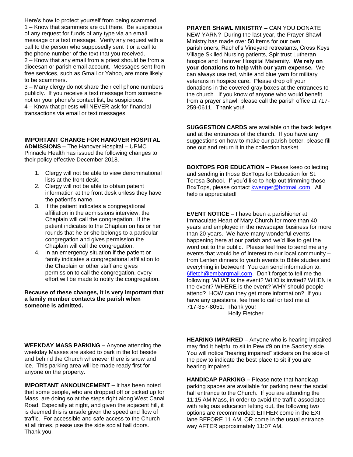Here's how to protect yourself from being scammed. 1 – Know that scammers are out there. Be suspicious of any request for funds of any type via an email message or a text message. Verify any request with a call to the person who supposedly sent it or a call to the phone number of the text that you received. 2 – Know that any email from a priest should be from a diocesan or parish email account. Messages sent from free services, such as Gmail or Yahoo, are more likely to be scammers.

3 – Many clergy do not share their cell phone numbers publicly. If you receive a text message from someone not on your phone's contact list, be suspicious. 4 – Know that priests will NEVER ask for financial transactions via email or text messages.

# **IMPORTANT CHANGE FOR HANOVER HOSPITAL**

**ADMISSIONS –** The Hanover Hospital – UPMC Pinnacle Health has issued the following changes to their policy effective December 2018.

- 1. Clergy will not be able to view denominational lists at the front desk.
- 2. Clergy will not be able to obtain patient information at the front desk unless they have the patient's name.
- 3. If the patient indicates a congregational affiliation in the admissions interview, the Chaplain will call the congregation. If the patient indicates to the Chaplain on his or her rounds that he or she belongs to a particular congregation and gives permission the Chaplain will call the congregation.
- 4. In an emergency situation if the patient or family indicates a congregational affiliation to the Chaplain or other staff and gives permission to call the congregation, every effort will be made to notify the congregation.

### **Because of these changes, it is very important that a family member contacts the parish when someone is admitted.**

**PRAYER SHAWL MINISTRY –** CAN YOU DONATE NEW YARN? During the last year, the Prayer Shawl Ministry has made over 50 items for our own parishioners, Rachel's Vineyard retreatants, Cross Keys Village Skilled Nursing patients, Spiritrust Lutheran hospice and Hanover Hospital Maternity. **We rely on your donations to help with our yarn expense.** We can always use red, white and blue yarn for military veterans in hospice care. Please drop off your donations in the covered gray boxes at the entrances to the church. If you know of anyone who would benefit from a prayer shawl, please call the parish office at 717-

**SUGGESTION CARDS** are available on the back ledges and at the entrances of the church. If you have any suggestions on how to make our parish better, please fill one out and return it in the collection basket.

259-0611. Thank you!

**BOXTOPS FOR EDUCATION –** Please keep collecting and sending in those BoxTops for Education for St. Teresa School. If you'd like to help out trimming those BoxTops, please contact [kwenger@hotmail.com.](mailto:kwenger@hotmail.com) All help is appreciated!

**EVENT NOTICE –** I have been a parishioner at Immaculate Heart of Mary Church for more than 40 years and employed in the newspaper business for more than 20 years. We have many wonderful events happening here at our parish and we'd like to get the word out to the public. Please feel free to send me any events that would be of interest to our local community – from Lenten dinners to youth events to Bible studies and everything in between! You can send information to: [6fletch@embarqmail.com.](mailto:6fletch@embarqmail.com) Don't forget to tell me the following: WHAT is the event? WHO is invited? WHEN is the event? WHERE is the event? WHY should people attend? HOW can they get more information? If you have any questions, fee free to call or text me at 717-357-8051. Thank you! Holly Fletcher

**WEEKDAY MASS PARKING –** Anyone attending the weekday Masses are asked to park in the lot beside and behind the Church whenever there is snow and ice. This parking area will be made ready first for anyone on the property.

**IMPORTANT ANNOUNCEMENT –** It has been noted that some people, who are dropped off or picked up for Mass, are doing so at the steps right along West Canal Road. Especially at night, and given the adjacent hill, it is deemed this is unsafe given the speed and flow of traffic. For accessible and safe access to the Church at all times, please use the side social hall doors. Thank you.

**HEARING IMPAIRED –** Anyone who is hearing impaired may find it helpful to sit in Pew #9 on the Sacristy side. You will notice "hearing impaired" stickers on the side of the pew to indicate the best place to sit if you are hearing impaired.

**HANDICAP PARKING –** Please note that handicap parking spaces are available for parking near the social hall entrance to the Church. If you are attending the 11:15 AM Mass, in order to avoid the traffic associated with religious education letting out, the following two options are recommended: EITHER come in the EXIT lane BEFORE 11 AM, OR come in the usual entrance way AFTER approximately 11:07 AM.